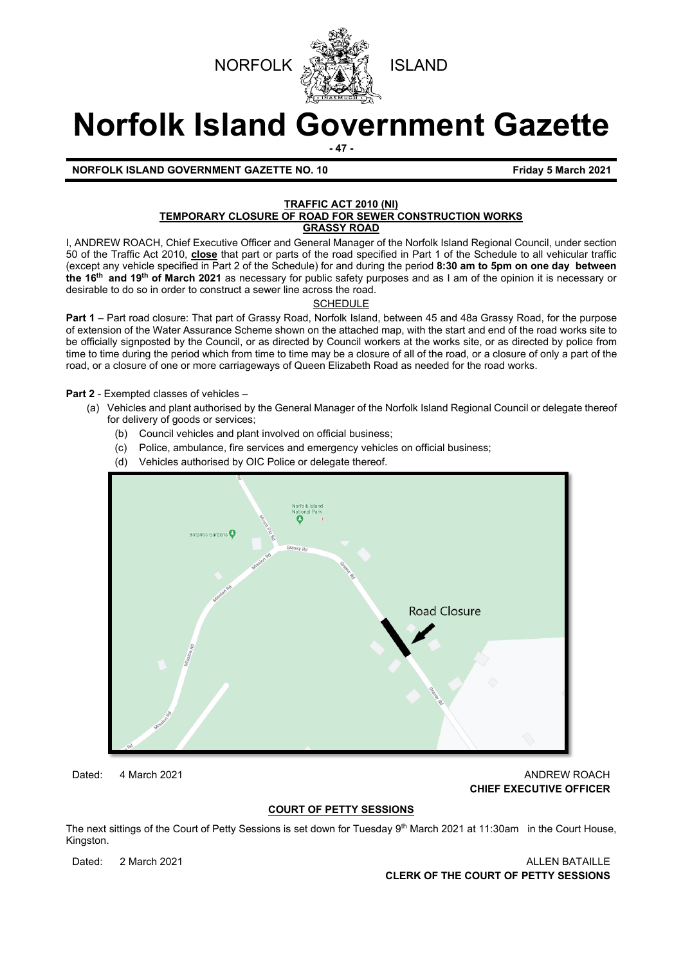



# **Norfolk Island Government Gazette**

**- 47 -**

**NORFOLK ISLAND GOVERNMENT GAZETTE NO. 10 FILM ASSESSED ASSAULT ASSAULT AT A FILM ASSAULT AT A FILM ASSAULT AT A FILM ASSAULT AT A FILM ASSAULT AT A FILM ASSAULT AT A FILM ASSAULT AT A FILM ASSAULT AT A FILM ASSAULT AT A** 

#### **TRAFFIC ACT 2010 (NI) TEMPORARY CLOSURE OF ROAD FOR SEWER CONSTRUCTION WORKS GRASSY ROAD**

I, ANDREW ROACH, Chief Executive Officer and General Manager of the Norfolk Island Regional Council, under section 50 of the Traffic Act 2010, **close** that part or parts of the road specified in Part 1 of the Schedule to all vehicular traffic (except any vehicle specified in Part 2 of the Schedule) for and during the period **8:30 am to 5pm on one day between the 16th and 19th of March 2021** as necessary for public safety purposes and as I am of the opinion it is necessary or desirable to do so in order to construct a sewer line across the road.

#### **SCHEDULE**

**Part 1** – Part road closure: That part of Grassy Road, Norfolk Island, between 45 and 48a Grassy Road, for the purpose of extension of the Water Assurance Scheme shown on the attached map, with the start and end of the road works site to be officially signposted by the Council, or as directed by Council workers at the works site, or as directed by police from time to time during the period which from time to time may be a closure of all of the road, or a closure of only a part of the road, or a closure of one or more carriageways of Queen Elizabeth Road as needed for the road works.

**Part 2** - Exempted classes of vehicles –

- (a) Vehicles and plant authorised by the General Manager of the Norfolk Island Regional Council or delegate thereof for delivery of goods or services;
	- (b) Council vehicles and plant involved on official business;
	- (c) Police, ambulance, fire services and emergency vehicles on official business;
	- (d) Vehicles authorised by OIC Police or delegate thereof.



Dated: 4 March 2021 **ANDREW ROACH CONSULTER AND ANDREW ROACH CHIEF EXECUTIVE OFFICER** 

#### **COURT OF PETTY SESSIONS**

The next sittings of the Court of Petty Sessions is set down for Tuesday 9<sup>th</sup> March 2021 at 11:30am in the Court House, Kingston.

Dated: 2 March 2021 2008 - 2009 12:00 2009 12:00 2009 12:00 2009 12:00 2009 12:00 2009 12:00 2009 12:00 2009 1 **CLERK OF THE COURT OF PETTY SESSIONS**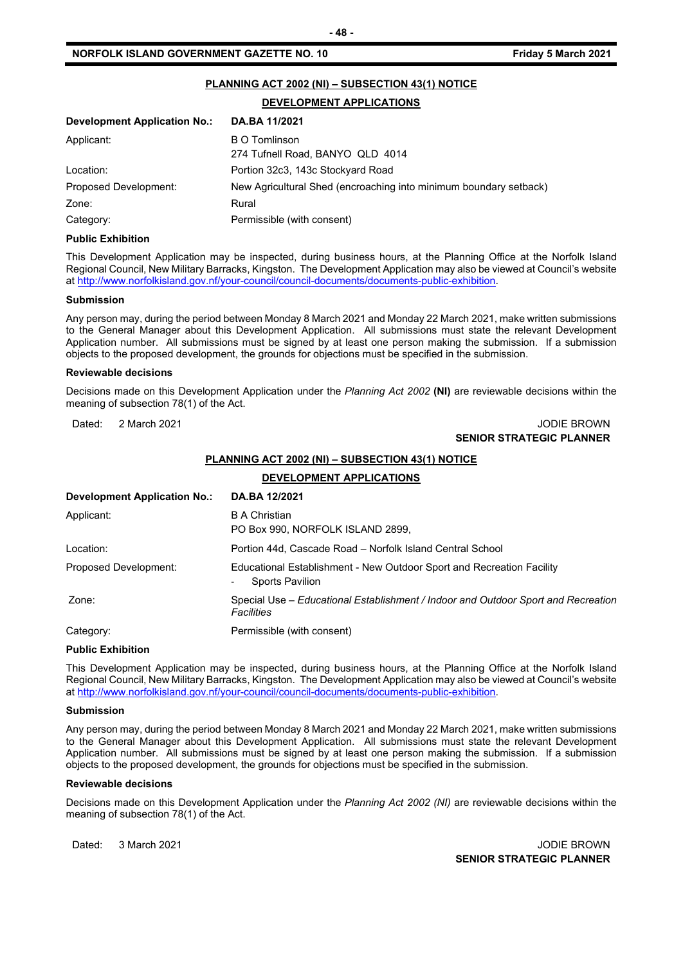#### **NORFOLK ISLAND GOVERNMENT GAZETTE NO. 10 FILM ASSESSED ASSAULT ASSAULT ASSAULT ASSAULT ASSAULT ASSAULT ASSAULT ASSAULT ASSAULT ASSAULT ASSAULT ASSAULT ASSAULT ASSAULT ASSAULT ASSAULT ASSAULT ASSAULT ASSAULT ASSAULT ASSA**

#### **PLANNING ACT 2002 (NI) – SUBSECTION 43(1) NOTICE**

#### **DEVELOPMENT APPLICATIONS**

| <b>Development Application No.:</b> | DA.BA 11/2021                                                     |
|-------------------------------------|-------------------------------------------------------------------|
| Applicant:                          | <b>B O Tomlinson</b>                                              |
|                                     | 274 Tufnell Road, BANYO QLD 4014                                  |
| Location:                           | Portion 32c3, 143c Stockyard Road                                 |
| Proposed Development:               | New Agricultural Shed (encroaching into minimum boundary setback) |
| Zone:                               | Rural                                                             |
| Category:                           | Permissible (with consent)                                        |

#### **Public Exhibition**

This Development Application may be inspected, during business hours, at the Planning Office at the Norfolk Island Regional Council, New Military Barracks, Kingston. The Development Application may also be viewed at Council's website a[t http://www.norfolkisland.gov.nf/your-council/council-documents/documents-public-exhibition.](http://www.norfolkisland.gov.nf/your-council/council-documents/documents-public-exhibition)

#### **Submission**

Any person may, during the period between Monday 8 March 2021 and Monday 22 March 2021, make written submissions to the General Manager about this Development Application. All submissions must state the relevant Development Application number. All submissions must be signed by at least one person making the submission. If a submission objects to the proposed development, the grounds for objections must be specified in the submission.

#### **Reviewable decisions**

Decisions made on this Development Application under the *Planning Act 2002* **(NI)** are reviewable decisions within the meaning of subsection 78(1) of the Act.

#### Dated: 2 March 2021 2001 2002 12:00 00:00 00:00 00:00 00:00 00:00 00:00 00:00 00:00 00:00 00:00 00:00 00:00 00:00 00:00 00:00 00:00 00:00 00:00 00:00 00:00 00:00 00:00 00:00 00:00 00:00 00:00 00:00 00:00 00:00 00:00 00:00 **SENIOR STRATEGIC PLANNER**

#### **PLANNING ACT 2002 (NI) – SUBSECTION 43(1) NOTICE**

| DEVELOPMENT APPLICATIONS            |                                                                                                 |  |  |
|-------------------------------------|-------------------------------------------------------------------------------------------------|--|--|
| <b>Development Application No.:</b> | DA.BA 12/2021                                                                                   |  |  |
| Applicant:                          | <b>B A Christian</b><br>PO Box 990, NORFOLK ISLAND 2899,                                        |  |  |
| Location:                           | Portion 44d, Cascade Road - Norfolk Island Central School                                       |  |  |
| Proposed Development:               | Educational Establishment - New Outdoor Sport and Recreation Facility<br>Sports Pavilion<br>۰   |  |  |
| Zone:                               | Special Use – Educational Establishment / Indoor and Outdoor Sport and Recreation<br>Facilities |  |  |
| Category:                           | Permissible (with consent)                                                                      |  |  |
| - -                                 |                                                                                                 |  |  |

#### **Public Exhibition**

This Development Application may be inspected, during business hours, at the Planning Office at the Norfolk Island Regional Council, New Military Barracks, Kingston. The Development Application may also be viewed at Council's website a[t http://www.norfolkisland.gov.nf/your-council/council-documents/documents-public-exhibition.](http://www.norfolkisland.gov.nf/your-council/council-documents/documents-public-exhibition)

#### **Submission**

Any person may, during the period between Monday 8 March 2021 and Monday 22 March 2021, make written submissions to the General Manager about this Development Application. All submissions must state the relevant Development Application number. All submissions must be signed by at least one person making the submission. If a submission objects to the proposed development, the grounds for objections must be specified in the submission.

#### **Reviewable decisions**

Decisions made on this Development Application under the *Planning Act 2002 (NI)* are reviewable decisions within the meaning of subsection 78(1) of the Act.

Dated: 3 March 2021 **Dates: 2021** JODIE BROWN **SENIOR STRATEGIC PLANNER**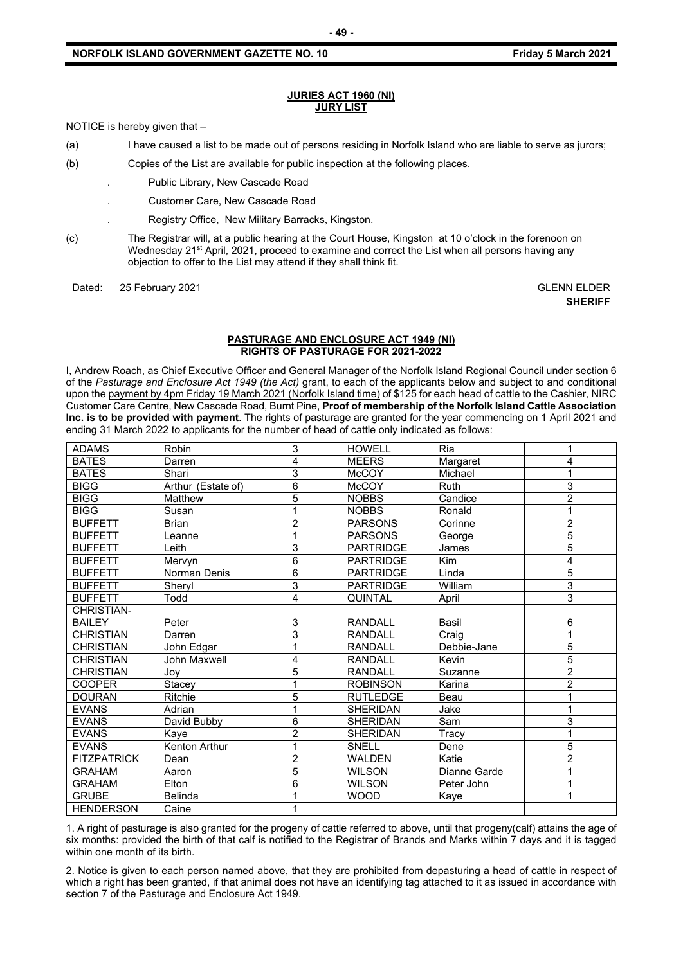#### **JURIES ACT 1960 (NI) JURY LIST**

NOTICE is hereby given that –

- (a) I have caused a list to be made out of persons residing in Norfolk Island who are liable to serve as jurors;
- (b) Copies of the List are available for public inspection at the following places.
	- . Public Library, New Cascade Road
	- . Customer Care, New Cascade Road
		- . Registry Office, New Military Barracks, Kingston.
- (c) The Registrar will, at a public hearing at the Court House, Kingston at 10 o'clock in the forenoon on Wednesday 21<sup>st</sup> April, 2021, proceed to examine and correct the List when all persons having any objection to offer to the List may attend if they shall think fit.
- Dated: 25 February 2021 Contract Contract Contract Contract Contract Contract Contract Contract Contract Contract Contract Contract Contract Contract Contract Contract Contract Contract Contract Contract Contract Contract

**SHERIFF**

#### **PASTURAGE AND ENCLOSURE ACT 1949 (NI) RIGHTS OF PASTURAGE FOR 2021-2022**

I, Andrew Roach, as Chief Executive Officer and General Manager of the Norfolk Island Regional Council under section 6 of the *Pasturage and Enclosure Act 1949 (the Act)* grant, to each of the applicants below and subject to and conditional upon the payment by 4pm Friday 19 March 2021 (Norfolk Island time) of \$125 for each head of cattle to the Cashier, NIRC Customer Care Centre, New Cascade Road, Burnt Pine, **Proof of membership of the Norfolk Island Cattle Association Inc. is to be provided with payment**. The rights of pasturage are granted for the year commencing on 1 April 2021 and ending 31 March 2022 to applicants for the number of head of cattle only indicated as follows:

| <b>ADAMS</b>       | Robin              | 3              | <b>HOWELL</b>    | Ria          | 1              |
|--------------------|--------------------|----------------|------------------|--------------|----------------|
| <b>BATES</b>       | Darren             | 4              | <b>MEERS</b>     | Margaret     | 4              |
| <b>BATES</b>       | Shari              | 3              | <b>McCOY</b>     | Michael      | 1              |
| <b>BIGG</b>        | Arthur (Estate of) | 6              | <b>McCOY</b>     | <b>Ruth</b>  | 3              |
| <b>BIGG</b>        | Matthew            | 5              | <b>NOBBS</b>     | Candice      | $\overline{2}$ |
| <b>BIGG</b>        | Susan              | 4              | <b>NOBBS</b>     | Ronald       | 1              |
| <b>BUFFETT</b>     | <b>Brian</b>       | $\overline{2}$ | <b>PARSONS</b>   | Corinne      | $\overline{c}$ |
| <b>BUFFETT</b>     | Leanne             | 1              | <b>PARSONS</b>   | George       | $\overline{5}$ |
| <b>BUFFETT</b>     | Leith              | 3              | <b>PARTRIDGE</b> | James        | 5              |
| <b>BUFFETT</b>     | Mervyn             | 6              | <b>PARTRIDGE</b> | Kim          | 4              |
| <b>BUFFETT</b>     | Norman Denis       | 6              | <b>PARTRIDGE</b> | Linda        | 5              |
| <b>BUFFETT</b>     | Sheryl             | 3              | <b>PARTRIDGE</b> | William      | 3              |
| <b>BUFFETT</b>     | Todd               | 4              | QUINTAL          | April        | 3              |
| CHRISTIAN-         |                    |                |                  |              |                |
| <b>BAILEY</b>      | Peter              | 3              | <b>RANDALL</b>   | Basil        | $\,6$          |
| <b>CHRISTIAN</b>   | Darren             | $\overline{3}$ | <b>RANDALL</b>   | Craig        | 1              |
| <b>CHRISTIAN</b>   | John Edgar         | 1              | <b>RANDALL</b>   | Debbie-Jane  | $\overline{5}$ |
| <b>CHRISTIAN</b>   | John Maxwell       | 4              | <b>RANDALL</b>   | Kevin        | $\overline{5}$ |
| <b>CHRISTIAN</b>   | Joy                | 5              | <b>RANDALL</b>   | Suzanne      | $\overline{2}$ |
| <b>COOPER</b>      | Stacey             | 1              | <b>ROBINSON</b>  | Karina       | $\overline{2}$ |
| <b>DOURAN</b>      | Ritchie            | 5              | <b>RUTLEDGE</b>  | Beau         | 1              |
| <b>EVANS</b>       | Adrian             | 1              | <b>SHERIDAN</b>  | Jake         | 1              |
| <b>EVANS</b>       | David Bubby        | 6              | <b>SHERIDAN</b>  | Sam          | 3              |
| <b>EVANS</b>       | Kaye               | $\overline{2}$ | <b>SHERIDAN</b>  | Tracy        | 1              |
| <b>EVANS</b>       | Kenton Arthur      | 1              | SNELL            | Dene         | 5              |
| <b>FITZPATRICK</b> | Dean               | $\overline{2}$ | <b>WALDEN</b>    | Katie        | 2              |
| <b>GRAHAM</b>      | Aaron              | 5              | <b>WILSON</b>    | Dianne Garde | 1              |
| <b>GRAHAM</b>      | Elton              | 6              | <b>WILSON</b>    | Peter John   | 1              |
| <b>GRUBE</b>       | <b>Belinda</b>     |                | <b>WOOD</b>      | Kaye         | 1              |
| <b>HENDERSON</b>   | Caine              | 1              |                  |              |                |

1. A right of pasturage is also granted for the progeny of cattle referred to above, until that progeny(calf) attains the age of six months: provided the birth of that calf is notified to the Registrar of Brands and Marks within 7 days and it is tagged within one month of its birth.

2. Notice is given to each person named above, that they are prohibited from depasturing a head of cattle in respect of which a right has been granted, if that animal does not have an identifying tag attached to it as issued in accordance with section 7 of the Pasturage and Enclosure Act 1949.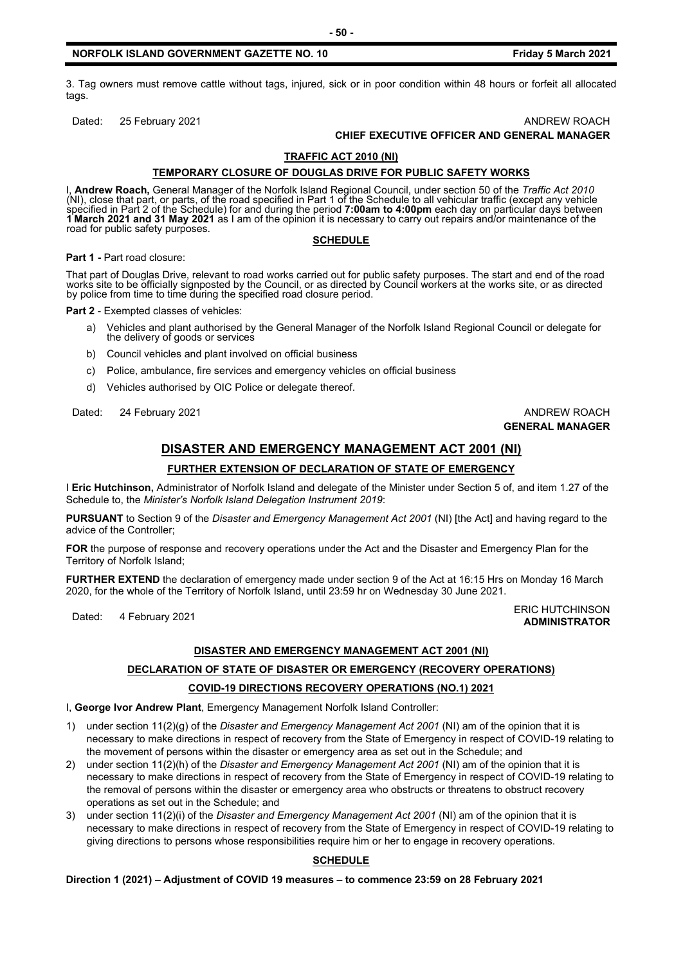3. Tag owners must remove cattle without tags, injured, sick or in poor condition within 48 hours or forfeit all allocated tags.

Dated: 25 February 2021 **ANDREW ROACH CONSUMING THE SET OF ANDREW ROACH** 

#### **CHIEF EXECUTIVE OFFICER AND GENERAL MANAGER**

#### **TRAFFIC ACT 2010 (NI)**

#### **TEMPORARY CLOSURE OF DOUGLAS DRIVE FOR PUBLIC SAFETY WORKS**

I, **Andrew Roach,** General Manager of the Norfolk Island Regional Council, under section 50 of the *Traffic Act 2010* (NI), close that part, or parts, of the road specified in Part 1 of the Schedule to all vehicular traffic (except any vehicle specified in Part 2 of the Schedule) for and during the period **7:00am to 4:00pm** each day on particular days between **<sup>1</sup> March <sup>2021</sup> and 31 May <sup>2021</sup>** as I am of the opinion it is necessary to carry out repairs and/or maintenance of the road for public safety purposes.

#### **SCHEDULE**

**Part 1 -** Part road closure:

That part of Douglas Drive, relevant to road works carried out for public safety purposes. The start and end of the road works site to be officially signposted by the Council, or as directed by Council workers at the works site, or as directed by police from time to time during the specified road closure period.

**Part 2** - Exempted classes of vehicles:

- a) Vehicles and plant authorised by the General Manager of the Norfolk Island Regional Council or delegate for the delivery of goods or services
- b) Council vehicles and plant involved on official business
- c) Police, ambulance, fire services and emergency vehicles on official business
- d) Vehicles authorised by OIC Police or delegate thereof.

Dated: 24 February 2021 **ANDREW ROACH CONSUMING THE CONSUMING THE CONSUMING TEAM** 

## **GENERAL MANAGER**

#### **DISASTER AND EMERGENCY MANAGEMENT ACT 2001 (NI)**

#### **FURTHER EXTENSION OF DECLARATION OF STATE OF EMERGENCY**

I **Eric Hutchinson,** Administrator of Norfolk Island and delegate of the Minister under Section 5 of, and item 1.27 of the Schedule to, the *Minister's Norfolk Island Delegation Instrument 2019*:

**PURSUANT** to Section 9 of the *Disaster and Emergency Management Act 2001* (NI) [the Act] and having regard to the advice of the Controller;

**FOR** the purpose of response and recovery operations under the Act and the Disaster and Emergency Plan for the Territory of Norfolk Island;

**FURTHER EXTEND** the declaration of emergency made under section 9 of the Act at 16:15 Hrs on Monday 16 March 2020, for the whole of the Territory of Norfolk Island, until 23:59 hr on Wednesday 30 June 2021.

#### Dated: 4 February 2021<br>Dated: 4 February 2021 **ADMINISTRATOR**

#### **DISASTER AND EMERGENCY MANAGEMENT ACT 2001 (NI)**

### **DECLARATION OF STATE OF DISASTER OR EMERGENCY (RECOVERY OPERATIONS) COVID-19 DIRECTIONS RECOVERY OPERATIONS (NO.1) 2021**

I, **George Ivor Andrew Plant**, Emergency Management Norfolk Island Controller:

- 1) under section 11(2)(g) of the *Disaster and Emergency Management Act 2001* (NI) am of the opinion that it is necessary to make directions in respect of recovery from the State of Emergency in respect of COVID-19 relating to the movement of persons within the disaster or emergency area as set out in the Schedule; and
- 2) under section 11(2)(h) of the *Disaster and Emergency Management Act 2001* (NI) am of the opinion that it is necessary to make directions in respect of recovery from the State of Emergency in respect of COVID-19 relating to the removal of persons within the disaster or emergency area who obstructs or threatens to obstruct recovery operations as set out in the Schedule; and
- 3) under section 11(2)(i) of the *Disaster and Emergency Management Act 2001* (NI) am of the opinion that it is necessary to make directions in respect of recovery from the State of Emergency in respect of COVID-19 relating to giving directions to persons whose responsibilities require him or her to engage in recovery operations.

#### **SCHEDULE**

**Direction 1 (2021) – Adjustment of COVID 19 measures – to commence 23:59 on 28 February 2021**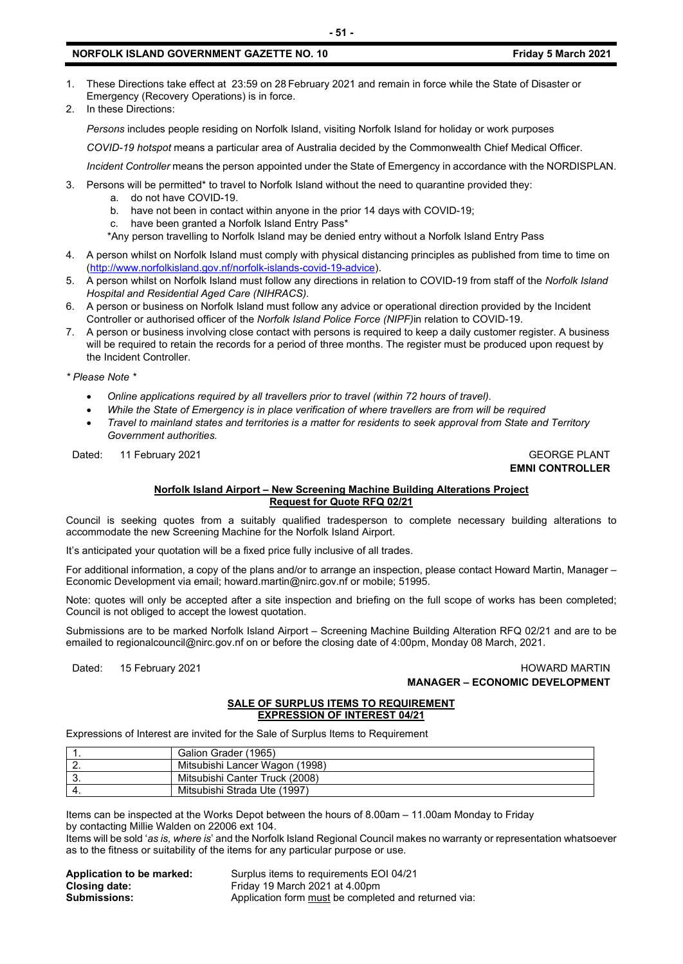#### **NORFOLK ISLAND GOVERNMENT GAZETTE NO. 10 FILM ASSESSED ASSAULT ASSAULT ASSAULT** Friday 5 March 2021

- 1. These Directions take effect at 23:59 on 28 February 2021 and remain in force while the State of Disaster or Emergency (Recovery Operations) is in force.
- 2. In these Directions:

*Persons* includes people residing on Norfolk Island, visiting Norfolk Island for holiday or work purposes

*COVID-19 hotspot* means a particular area of Australia decided by the Commonwealth Chief Medical Officer.

*Incident Controller* means the person appointed under the State of Emergency in accordance with the NORDISPLAN.

- 3. Persons will be permitted\* to travel to Norfolk Island without the need to quarantine provided they:
	- a. do not have COVID-19.
	- b. have not been in contact within anyone in the prior 14 days with COVID-19;
	- c. have been granted a Norfolk Island Entry Pass\*
	- \*Any person travelling to Norfolk Island may be denied entry without a Norfolk Island Entry Pass
- 4. A person whilst on Norfolk Island must comply with physical distancing principles as published from time to time on [\(http://www.norfolkisland.gov.nf/norfolk-islands-covid-19-advice\)](http://www.norfolkisland.gov.nf/norfolk-islands-covid-19-advice).
- 5. A person whilst on Norfolk Island must follow any directions in relation to COVID-19 from staff of the *Norfolk Island Hospital and Residential Aged Care (NIHRACS).*
- 6. A person or business on Norfolk Island must follow any advice or operational direction provided by the Incident Controller or authorised officer of the *Norfolk Island Police Force (NIPF)*in relation to COVID-19.
- 7. A person or business involving close contact with persons is required to keep a daily customer register. A business will be required to retain the records for a period of three months. The register must be produced upon request by the Incident Controller.

*\* Please Note \** 

- *Online applications required by all travellers prior to travel (within 72 hours of travel).*
- *While the State of Emergency is in place verification of where travellers are from will be required*
- *Travel to mainland states and territories is a matter for residents to seek approval from State and Territory Government authorities.*

Dated: 11 February 2021 **GEORGE PLANT** 

**EMNI CONTROLLER**

#### **Norfolk Island Airport – New Screening Machine Building Alterations Project Request for Quote RFQ 02/21**

Council is seeking quotes from a suitably qualified tradesperson to complete necessary building alterations to accommodate the new Screening Machine for the Norfolk Island Airport.

It's anticipated your quotation will be a fixed price fully inclusive of all trades.

For additional information, a copy of the plans and/or to arrange an inspection, please contact Howard Martin, Manager – Economic Development via email; howard.martin@nirc.gov.nf or mobile; 51995.

Note: quotes will only be accepted after a site inspection and briefing on the full scope of works has been completed; Council is not obliged to accept the lowest quotation.

Submissions are to be marked Norfolk Island Airport – Screening Machine Building Alteration RFQ 02/21 and are to be emailed to regionalcouncil@nirc.gov.nf on or before the closing date of 4:00pm, Monday 08 March, 2021.

Dated: 15 February 2021 **https://www.franchology.com/contract/intervalsed/intervalsed/intervalsed/intervalsed/intervalsed/intervalsed/intervalsed/intervalsed/intervalsed/intervalsed/intervalsed/intervalsed/intervalsed/inte MANAGER – ECONOMIC DEVELOPMENT**

#### **SALE OF SURPLUS ITEMS TO REQUIREMENT EXPRESSION OF INTEREST 04/21**

Expressions of Interest are invited for the Sale of Surplus Items to Requirement

|    | Galion Grader (1965)           |
|----|--------------------------------|
|    | Mitsubishi Lancer Wagon (1998) |
| v. | Mitsubishi Canter Truck (2008) |
| ᠇. | Mitsubishi Strada Ute (1997)   |

Items can be inspected at the Works Depot between the hours of 8.00am – 11.00am Monday to Friday by contacting Millie Walden on 22006 ext 104.

Items will be sold '*as is, where is*' and the Norfolk Island Regional Council makes no warranty or representation whatsoever as to the fitness or suitability of the items for any particular purpose or use.

| Application to be marked: | Surplus items to requirements EOI 04/21              |
|---------------------------|------------------------------------------------------|
| <b>Closing date:</b>      | Friday 19 March 2021 at 4.00pm                       |
| <b>Submissions:</b>       | Application form must be completed and returned via: |